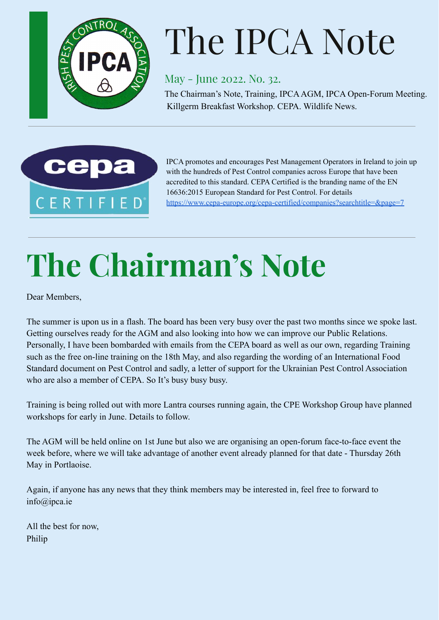

# The IPCA Note

May - June 2022. No. 32.

The Chairman's Note, Training, IPCAAGM, IPCA Open-Forum Meeting. Killgerm Breakfast Workshop. CEPA. Wildlife News.



IPCA promotes and encourages Pest Management Operators in Ireland to join up with the hundreds of Pest Control companies across Europe that have been accredited to this standard. CEPA Certified is the branding name of the EN 16636:2015 European Standard for Pest Control. For details <https://www.cepa-europe.org/cepa-certified/companies?searchtitle=&page=7>

## **The Chairman's Note**

Dear Members,

The summer is upon us in a flash. The board has been very busy over the past two months since we spoke last. Getting ourselves ready for the AGM and also looking into how we can improve our Public Relations. Personally, I have been bombarded with emails from the CEPA board as well as our own, regarding Training such as the free on-line training on the 18th May, and also regarding the wording of an International Food Standard document on Pest Control and sadly, a letter of support for the Ukrainian Pest Control Association who are also a member of CEPA. So It's busy busy busy.

Training is being rolled out with more Lantra courses running again, the CPE Workshop Group have planned workshops for early in June. Details to follow.

The AGM will be held online on 1st June but also we are organising an open-forum face-to-face event the week before, where we will take advantage of another event already planned for that date - Thursday 26th May in Portlaoise.

Again, if anyone has any news that they think members may be interested in, feel free to forward to info@ipca.ie

All the best for now, Philip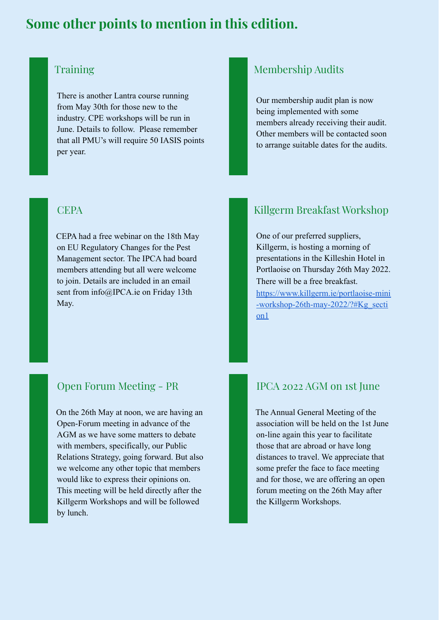## **Some other points to mention in this edition.**

## **Training**

There is another Lantra course running from May 30th for those new to the industry. CPE workshops will be run in June. Details to follow. Please remember that all PMU's will require 50 IASIS points per year.

### **CEPA**

CEPA had a free webinar on the 18th May on EU Regulatory Changes for the Pest Management sector. The IPCA had board members attending but all were welcome to join. Details are included in an email sent from info@IPCA.ie on Friday 13th May.

## Open Forum Meeting - PR

On the 26th May at noon, we are having an Open-Forum meeting in advance of the AGM as we have some matters to debate with members, specifically, our Public Relations Strategy, going forward. But also we welcome any other topic that members would like to express their opinions on. This meeting will be held directly after the Killgerm Workshops and will be followed by lunch.

## Membership Audits

Our membership audit plan is now being implemented with some members already receiving their audit. Other members will be contacted soon to arrange suitable dates for the audits.

## Killgerm Breakfast Workshop

One of our preferred suppliers, Killgerm, is hosting a morning of presentations in the Killeshin Hotel in Portlaoise on Thursday 26th May 2022. There will be a free breakfast. [https://www.killgerm.ie/portlaoise-mini](https://www.killgerm.ie/portlaoise-mini-workshop-26th-may-2022/?#Kg_section1) [-workshop-26th-may-2022/?#Kg\\_secti](https://www.killgerm.ie/portlaoise-mini-workshop-26th-may-2022/?#Kg_section1) [on1](https://www.killgerm.ie/portlaoise-mini-workshop-26th-may-2022/?#Kg_section1)

#### IPCA 2022 AGM on 1st June

The Annual General Meeting of the association will be held on the 1st June on-line again this year to facilitate those that are abroad or have long distances to travel. We appreciate that some prefer the face to face meeting and for those, we are offering an open forum meeting on the 26th May after the Killgerm Workshops.